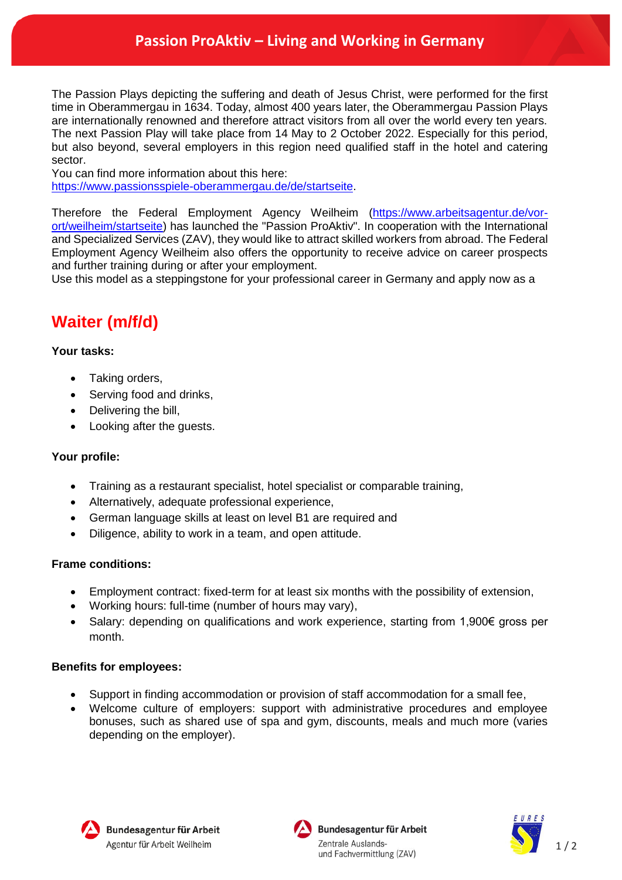## **Passion ProAktiv – Living and Working in Germany**

The Passion Plays depicting the suffering and death of Jesus Christ, were performed for the first time in Oberammergau in 1634. Today, almost 400 years later, the Oberammergau Passion Plays are internationally renowned and therefore attract visitors from all over the world every ten years. The next Passion Play will take place from 14 May to 2 October 2022. Especially for this period, but also beyond, several employers in this region need qualified staff in the hotel and catering sector.

You can find more information about this here:

[https://www.passionsspiele-oberammergau.de/de/startseite.](https://www.passionsspiele-oberammergau.de/de/startseite)

Therefore the Federal Employment Agency Weilheim [\(https://www.arbeitsagentur.de/vor](https://www.arbeitsagentur.de/vor-ort/weilheim/startseite)[ort/weilheim/startseite\)](https://www.arbeitsagentur.de/vor-ort/weilheim/startseite) has launched the "Passion ProAktiv". In cooperation with the International and Specialized Services (ZAV), they would like to attract skilled workers from abroad. The Federal Employment Agency Weilheim also offers the opportunity to receive advice on career prospects and further training during or after your employment.

Use this model as a steppingstone for your professional career in Germany and apply now as a

# **Waiter (m/f/d)**

### **Your tasks:**

- Taking orders,
- Serving food and drinks,
- Delivering the bill,
- Looking after the guests.

#### **Your profile:**

- Training as a restaurant specialist, hotel specialist or comparable training,
- Alternatively, adequate professional experience,
- German language skills at least on level B1 are required and
- Diligence, ability to work in a team, and open attitude.

#### **Frame conditions:**

- Employment contract: fixed-term for at least six months with the possibility of extension,
- Working hours: full-time (number of hours may vary),
- Salary: depending on qualifications and work experience, starting from 1,900€ gross per month.

#### **Benefits for employees:**

- Support in finding accommodation or provision of staff accommodation for a small fee,
- Welcome culture of employers: support with administrative procedures and employee bonuses, such as shared use of spa and gym, discounts, meals and much more (varies depending on the employer).





Bundesagentur für Arbeit Zentrale Auslandsund Fachvermittlung (ZAV)